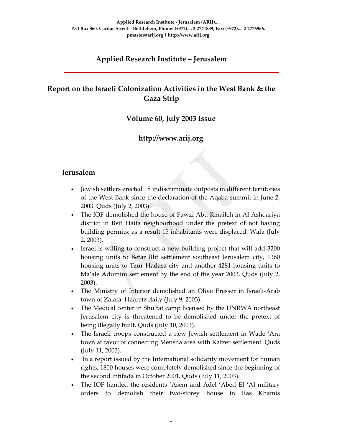# **Applied Research Institute – Jerusalem**

# **Report on the Israeli Colonization Activities in the West Bank & the Gaza Strip**

### **Volume 60, July 2003 Issue**

## **http://www.arij.org**

### **Jerusalem**

- Jewish settlers erected 18 indiscriminate outposts in different territories of the West Bank since the declaration of the Aqaba summit in June 2, 2003. Quds (July 2, 2003).
- The IOF demolished the house of Fawzi Abu Rmaileh in Al Ashqariya district in Beit Haifa neighborhood under the pretext of not having building permits; as a result 15 inhabitants were displaced. Wafa (July 2, 2003).
- Israel is willing to construct a new building project that will add 3200 housing units to Betar Illit settlement southeast Jerusalem city, 1360 housing units to Tzur Hadasa city and another 4281 housing units to Ma'ale Adumim settlement by the end of the year 2003. Quds (July 2, 2003).
- The Ministry of Interior demolished an Olive Presser in Israeli-Arab town of Zalafa. Haaretz daily (July 9, 2003).
- The Medical center in Shu'fat camp licensed by the UNRWA northeast Jerusalem city is threatened to be demolished under the pretext of being illegally built. Quds (July 10, 2003).
- The Israeli troops constructed a new Jewish settlement in Wade 'Ara town at favor of connecting Mensha area with Katzer settlement. Quds (July 11, 2003).
- In a report issued by the International solidarity movement for human rights, 1800 houses were completely demolished since the beginning of the second Intifada in October 2001. Quds (July 11, 2003).
- The IOF handed the residents 'Asem and Adel 'Abed El 'Al military orders to demolish their two‐storey house in Ras Khamis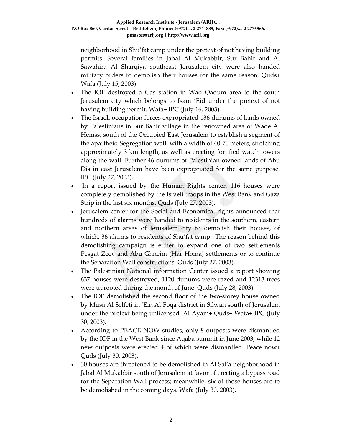neighborhood in Shu'fat camp under the pretext of not having building permits. Several families in Jabal Al Mukabbir, Sur Bahir and Al Sawahira Al Sharqiya southeast Jerusalem city were also handed military orders to demolish their houses for the same reason. Quds+ Wafa (July 15, 2003).

- The IOF destroyed a Gas station in Wad Qadum area to the south Jerusalem city which belongs to Isam 'Eid under the pretext of not having building permit. Wafa+ IPC (July 16, 2003).
- The Israeli occupation forces expropriated 136 dunums of lands owned by Palestinians in Sur Bahir village in the renowned area of Wade Al Hemss, south of the Occupied East Jerusalem to establish a segment of the apartheid Segregation wall, with a width of 40‐70 meters, stretching approximately 3 km length, as well as erecting fortified watch towers along the wall. Further 46 dunums of Palestinian‐owned lands of Abu Dis in east Jerusalem have been expropriated for the same purpose. IPC (July 27, 2003).
- In a report issued by the Human Rights center, 116 houses were completely demolished by the Israeli troops in the West Bank and Gaza Strip in the last six months. Quds (July 27, 2003).
- Jerusalem center for the Social and Economical rights announced that hundreds of alarms were handed to residents in the southern, eastern and northern areas of Jerusalem city to demolish their houses, of which, 36 alarms to residents of Shu'fat camp. The reason behind this demolishing campaign is either to expand one of two settlements Pesgat Zeev and Abu Ghneim (Har Homa) settlements or to continue the Separation Wall constructions. Quds (July 27, 2003).
- The Palestinian National information Center issued a report showing 637 houses were destroyed, 1120 dunums were razed and 12313 trees were uprooted during the month of June. Quds (July 28, 2003).
- The IOF demolished the second floor of the two-storey house owned by Musa Al Selfeti in 'Ein Al Foqa district in Silwan south of Jerusalem under the pretext being unlicensed. Al Ayam+ Quds+ Wafa+ IPC (July 30, 2003).
- According to PEACE NOW studies, only 8 outposts were dismantled by the IOF in the West Bank since Aqaba summit in June 2003, while 12 new outposts were erected 4 of which were dismantled. Peace now+ Quds (July 30, 2003).
- 30 houses are threatened to be demolished in Al Sal'a neighborhood in Jabal Al Mukabbir south of Jerusalem at favor of erecting a bypass road for the Separation Wall process; meanwhile, six of those houses are to be demolished in the coming days. Wafa (July 30, 2003).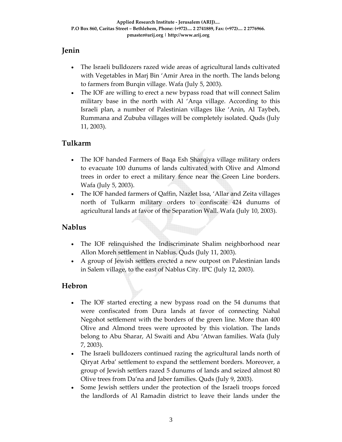### **Jenin**

- The Israeli bulldozers razed wide areas of agricultural lands cultivated with Vegetables in Marj Bin 'Amir Area in the north. The lands belong to farmers from Burqin village. Wafa (July 5, 2003).
- The IOF are willing to erect a new bypass road that will connect Salim military base in the north with Al 'Arqa village. According to this Israeli plan, a number of Palestinian villages like 'Anin, Al Taybeh, Rummana and Zububa villages will be completely isolated. Quds (July 11, 2003).

### **Tulkarm**

- The IOF handed Farmers of Baqa Esh Sharqiya village military orders to evacuate 100 dunums of lands cultivated with Olive and Almond trees in order to erect a military fence near the Green Line borders. Wafa (July 5, 2003).
- The IOF handed farmers of Qaffin, Nazlet Issa, 'Allar and Zeita villages north of Tulkarm military orders to confiscate 424 dunums of agricultural lands at favor of the Separation Wall. Wafa (July 10, 2003).

### **Nablus**

- The IOF relinquished the Indiscriminate Shalim neighborhood near Allon Moreh settlement in Nablus. Quds (July 11, 2003).
- A group of Jewish settlers erected a new outpost on Palestinian lands in Salem village, to the east of Nablus City. IPC (July 12, 2003).

### **Hebron**

- The IOF started erecting a new bypass road on the 54 dunums that were confiscated from Dura lands at favor of connecting Nahal Negohot settlement with the borders of the green line. More than 400 Olive and Almond trees were uprooted by this violation. The lands belong to Abu Sharar, Al Swaiti and Abu 'Atwan families. Wafa (July 7, 2003).
- The Israeli bulldozers continued razing the agricultural lands north of Qiryat Arba' settlement to expand the settlement borders. Moreover, a group of Jewish settlers razed 5 dunums of lands and seized almost 80 Olive trees from Da'na and Jaber families. Quds (July 9, 2003).
- Some Jewish settlers under the protection of the Israeli troops forced the landlords of Al Ramadin district to leave their lands under the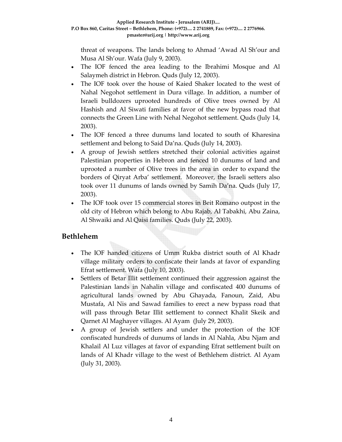threat of weapons. The lands belong to Ahmad 'Awad Al Sh'our and Musa Al Sh'our. Wafa (July 9, 2003).

- The IOF fenced the area leading to the Ibrahimi Mosque and Al Salaymeh district in Hebron. Quds (July 12, 2003).
- The IOF took over the house of Kaied Shaker located to the west of Nahal Negohot settlement in Dura village. In addition, a number of Israeli bulldozers uprooted hundreds of Olive trees owned by Al Hashish and Al Siwati families at favor of the new bypass road that connects the Green Line with Nehal Negohot settlement. Quds (July 14, 2003).
- The IOF fenced a three dunums land located to south of Kharesina settlement and belong to Said Da'na. Quds (July 14, 2003).
- A group of Jewish settlers stretched their colonial activities against Palestinian properties in Hebron and fenced 10 dunums of land and uprooted a number of Olive trees in the area in order to expand the borders of Qiryat Arba' settlement. Moreover, the Israeli setters also took over 11 dunums of lands owned by Samih Da'na. Quds (July 17, 2003).
- The IOF took over 15 commercial stores in Beit Romano outpost in the old city of Hebron which belong to Abu Rajab, Al Tabakhi, Abu Zaina, Al Shwaiki and Al Qaisi families. Quds (July 22, 2003).

### **Bethlehem**

- The IOF handed citizens of Umm Rukba district south of Al Khadr village military orders to confiscate their lands at favor of expanding Efrat settlement. Wafa (July 10, 2003).
- Settlers of Betar Illit settlement continued their aggression against the Palestinian lands in Nahalin village and confiscated 400 dunums of agricultural lands owned by Abu Ghayada, Fanoun, Zaid, Abu Mustafa, Al Nis and Sawad families to erect a new bypass road that will pass through Betar Illit settlement to connect Khalit Skeik and Qarnet Al Maghayer villages. Al Ayam (July 29, 2003).
- A group of Jewish settlers and under the protection of the IOF confiscated hundreds of dunums of lands in Al Nahla, Abu Njam and Khalail Al Luz villages at favor of expanding Efrat settlement built on lands of Al Khadr village to the west of Bethlehem district. Al Ayam (July 31, 2003).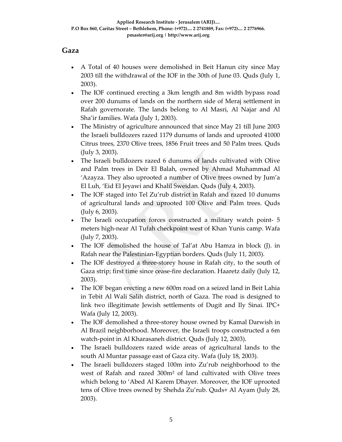#### **Gaza**

- A Total of 40 houses were demolished in Beit Hanun city since May 2003 till the withdrawal of the IOF in the 30th of June 03. Quds (July 1, 2003).
- The IOF continued erecting a 3km length and 8m width bypass road over 200 dunums of lands on the northern side of Meraj settlement in Rafah governorate. The lands belong to Al Masri, Al Najar and Al Sha'ir families. Wafa (July 1, 2003).
- The Ministry of agriculture announced that since May 21 till June 2003 the Israeli bulldozers razed 1179 dunums of lands and uprooted 41000 Citrus trees, 2370 Olive trees, 1856 Fruit trees and 50 Palm trees. Quds (July 3, 2003).
- The Israeli bulldozers razed 6 dunums of lands cultivated with Olive and Palm trees in Deir El Balah, owned by Ahmad Muhammad Al 'Azayza. They also uprooted a number of Olive trees owned by Jum'a El Luh, 'Eid El Jeyawi and Khalil Sweidan. Quds (July 4, 2003).
- The IOF staged into Tel Zu'rub district in Rafah and razed 10 dunums of agricultural lands and uprooted 100 Olive and Palm trees. Quds (July 6, 2003).
- The Israeli occupation forces constructed a military watch point- 5 meters high‐near Al Tufah checkpoint west of Khan Yunis camp. Wafa (July 7, 2003).
- The IOF demolished the house of Tal'at Abu Hamza in block (J). in Rafah near the Palestinian‐Egyptian borders. Quds (July 11, 2003).
- The IOF destroyed a three-storey house in Rafah city, to the south of Gaza strip; first time since cease‐fire declaration. Haaretz daily (July 12, 2003).
- The IOF began erecting a new 600m road on a seized land in Beit Lahia in Tebit Al Wali Salih district, north of Gaza. The road is designed to link two illegitimate Jewish settlements of Dugit and Ily Sinai. IPC+ Wafa (July 12, 2003).
- The IOF demolished a three-storey house owned by Kamal Darwish in Al Brazil neighborhood. Moreover, the Israeli troops constructed a 6m watch‐point in Al Kharasaneh district. Quds (July 12, 2003).
- The Israeli bulldozers razed wide areas of agricultural lands to the south Al Muntar passage east of Gaza city. Wafa (July 18, 2003).
- The Israeli bulldozers staged 100m into Zu'rub neighborhood to the west of Rafah and razed 300m² of land cultivated with Olive trees which belong to 'Abed Al Karem Dhayer. Moreover, the IOF uprooted tens of Olive trees owned by Shehda Zu'rub. Quds+ Al Ayam (July 28, 2003).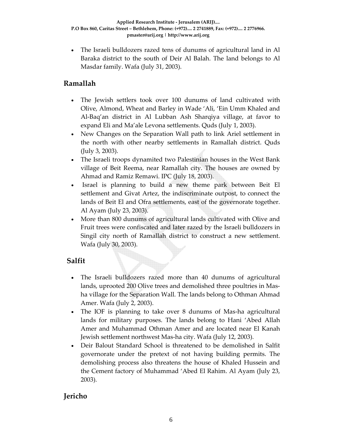• The Israeli bulldozers razed tens of dunums of agricultural land in Al Baraka district to the south of Deir Al Balah. The land belongs to Al Masdar family. Wafa (July 31, 2003).

### **Ramallah**

- The Jewish settlers took over 100 dunums of land cultivated with Olive, Almond, Wheat and Barley in Wade 'Ali, 'Ein Umm Khaled and Al‐Baq'an district in Al Lubban Ash Sharqiya village, at favor to expand Eli and Ma'ale Levona settlements. Quds (July 1, 2003).
- New Changes on the Separation Wall path to link Ariel settlement in the north with other nearby settlements in Ramallah district. Quds (July 3, 2003).
- The Israeli troops dynamited two Palestinian houses in the West Bank village of Beit Reema, near Ramallah city. The houses are owned by Ahmad and Ramiz Remawi. IPC (July 18, 2003).
- Israel is planning to build a new theme park between Beit El settlement and Givat Artez, the indiscriminate outpost, to connect the lands of Beit El and Ofra settlements, east of the governorate together. Al Ayam (July 23, 2003).
- More than 800 dunums of agricultural lands cultivated with Olive and Fruit trees were confiscated and later razed by the Israeli bulldozers in Singil city north of Ramallah district to construct a new settlement. Wafa (July 30, 2003).

### **Salfit**

- The Israeli bulldozers razed more than 40 dunums of agricultural lands, uprooted 200 Olive trees and demolished three poultries in Mas‐ ha village for the Separation Wall. The lands belong to Othman Ahmad Amer. Wafa (July 2, 2003).
- The IOF is planning to take over 8 dunums of Mas-ha agricultural lands for military purposes. The lands belong to Hani 'Abed Allah Amer and Muhammad Othman Amer and are located near El Kanah Jewish settlement northwest Mas‐ha city. Wafa (July 12, 2003).
- Deir Balout Standard School is threatened to be demolished in Salfit governorate under the pretext of not having building permits. The demolishing process also threatens the house of Khaled Hussein and the Cement factory of Muhammad 'Abed El Rahim. Al Ayam (July 23, 2003).

## **Jericho**